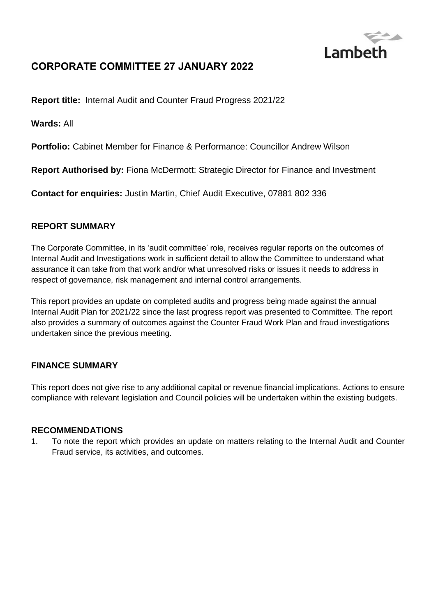

# **CORPORATE COMMITTEE 27 JANUARY 2022**

**Report title:** Internal Audit and Counter Fraud Progress 2021/22

**Wards:** All

**Portfolio:** Cabinet Member for Finance & Performance: Councillor Andrew Wilson

**Report Authorised by:** Fiona McDermott: Strategic Director for Finance and Investment

**Contact for enquiries:** Justin Martin, Chief Audit Executive, 07881 802 336

#### **REPORT SUMMARY**

The Corporate Committee, in its 'audit committee' role, receives regular reports on the outcomes of Internal Audit and Investigations work in sufficient detail to allow the Committee to understand what assurance it can take from that work and/or what unresolved risks or issues it needs to address in respect of governance, risk management and internal control arrangements.

This report provides an update on completed audits and progress being made against the annual Internal Audit Plan for 2021/22 since the last progress report was presented to Committee. The report also provides a summary of outcomes against the Counter Fraud Work Plan and fraud investigations undertaken since the previous meeting.

#### **FINANCE SUMMARY**

This report does not give rise to any additional capital or revenue financial implications. Actions to ensure compliance with relevant legislation and Council policies will be undertaken within the existing budgets.

#### **RECOMMENDATIONS**

1. To note the report which provides an update on matters relating to the Internal Audit and Counter Fraud service, its activities, and outcomes.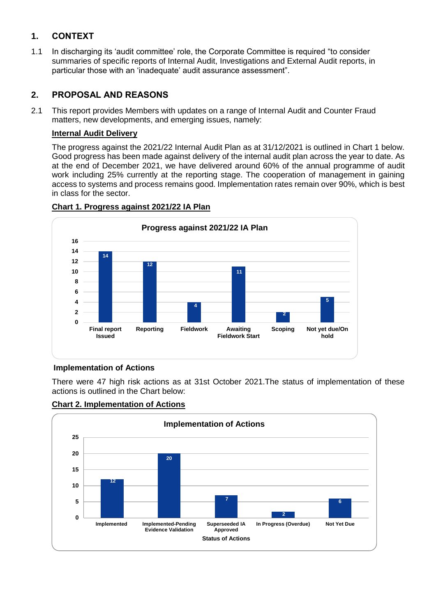# **1. CONTEXT**

1.1 In discharging its 'audit committee' role, the Corporate Committee is required "to consider summaries of specific reports of Internal Audit, Investigations and External Audit reports, in particular those with an 'inadequate' audit assurance assessment".

### **2. PROPOSAL AND REASONS**

2.1 This report provides Members with updates on a range of Internal Audit and Counter Fraud matters, new developments, and emerging issues, namely:

#### **Internal Audit Delivery**

The progress against the 2021/22 Internal Audit Plan as at 31/12/2021 is outlined in Chart 1 below. Good progress has been made against delivery of the internal audit plan across the year to date. As at the end of December 2021, we have delivered around 60% of the annual programme of audit work including 25% currently at the reporting stage. The cooperation of management in gaining access to systems and process remains good. Implementation rates remain over 90%, which is best in class for the sector.



#### **Chart 1. Progress against 2021/22 IA Plan**

### **Implementation of Actions**

There were 47 high risk actions as at 31st October 2021.The status of implementation of these actions is outlined in the Chart below:



#### **Chart 2. Implementation of Actions**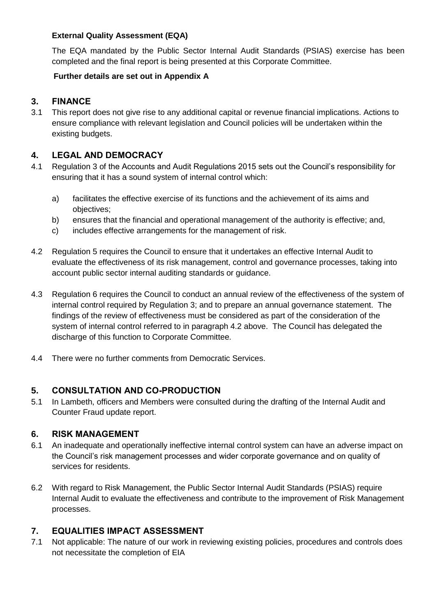#### **External Quality Assessment (EQA)**

The EQA mandated by the Public Sector Internal Audit Standards (PSIAS) exercise has been completed and the final report is being presented at this Corporate Committee.

#### **Further details are set out in Appendix A**

### **3. FINANCE**

3.1 This report does not give rise to any additional capital or revenue financial implications. Actions to ensure compliance with relevant legislation and Council policies will be undertaken within the existing budgets.

### **4. LEGAL AND DEMOCRACY**

- 4.1 Regulation 3 of the Accounts and Audit Regulations 2015 sets out the Council's responsibility for ensuring that it has a sound system of internal control which:
	- a) facilitates the effective exercise of its functions and the achievement of its aims and objectives;
	- b) ensures that the financial and operational management of the authority is effective; and,
	- c) includes effective arrangements for the management of risk.
- 4.2 Regulation 5 requires the Council to ensure that it undertakes an effective Internal Audit to evaluate the effectiveness of its risk management, control and governance processes, taking into account public sector internal auditing standards or guidance.
- 4.3 Regulation 6 requires the Council to conduct an annual review of the effectiveness of the system of internal control required by Regulation 3; and to prepare an annual governance statement. The findings of the review of effectiveness must be considered as part of the consideration of the system of internal control referred to in paragraph 4.2 above. The Council has delegated the discharge of this function to Corporate Committee.
- 4.4 There were no further comments from Democratic Services.

### **5. CONSULTATION AND CO-PRODUCTION**

5.1 In Lambeth, officers and Members were consulted during the drafting of the Internal Audit and Counter Fraud update report.

### **6. RISK MANAGEMENT**

- 6.1 An inadequate and operationally ineffective internal control system can have an adverse impact on the Council's risk management processes and wider corporate governance and on quality of services for residents.
- 6.2 With regard to Risk Management, the Public Sector Internal Audit Standards (PSIAS) require Internal Audit to evaluate the effectiveness and contribute to the improvement of Risk Management processes.

### **7. EQUALITIES IMPACT ASSESSMENT**

7.1 Not applicable: The nature of our work in reviewing existing policies, procedures and controls does not necessitate the completion of EIA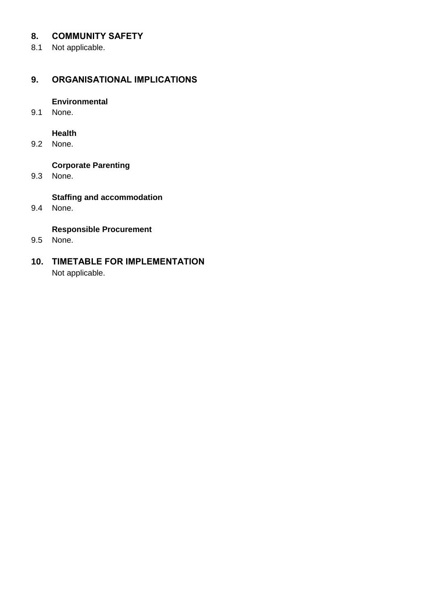### **8. COMMUNITY SAFETY**

8.1 Not applicable.

### **9. ORGANISATIONAL IMPLICATIONS**

#### **Environmental**

9.1 None.

### **Health**

9.2 None.

# **Corporate Parenting**

9.3 None.

#### **Staffing and accommodation**

9.4 None.

### **Responsible Procurement**

9.5 None.

# **10. TIMETABLE FOR IMPLEMENTATION** Not applicable.